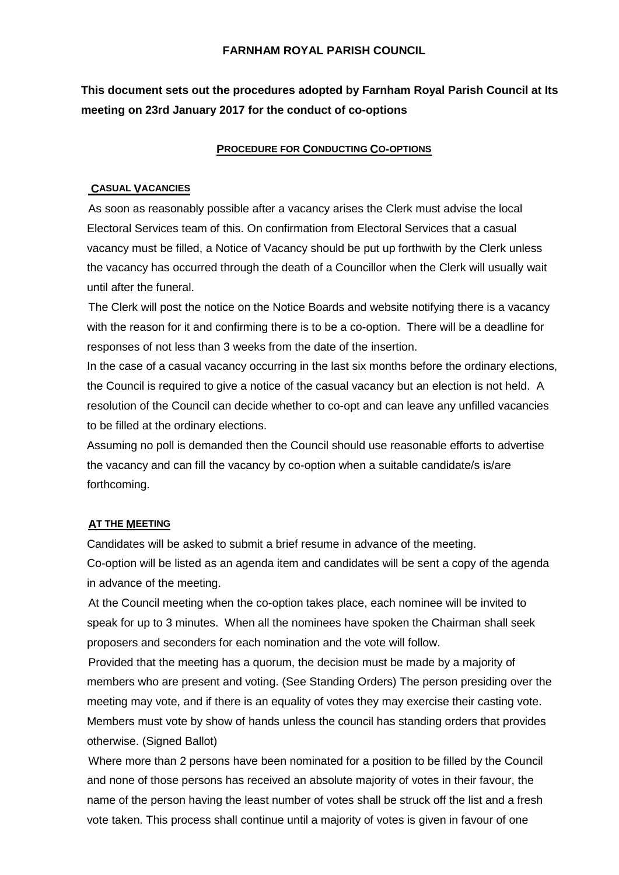## **FARNHAM ROYAL PARISH COUNCIL**

# **This document sets out the procedures adopted by Farnham Royal Parish Council at Its meeting on 23rd January 2017 for the conduct of co-options**

### **PROCEDURE FOR CONDUCTING CO-OPTIONS**

#### **CASUAL VACANCIES**

As soon as reasonably possible after a vacancy arises the Clerk must advise the local Electoral Services team of this. On confirmation from Electoral Services that a casual vacancy must be filled, a Notice of Vacancy should be put up forthwith by the Clerk unless the vacancy has occurred through the death of a Councillor when the Clerk will usually wait until after the funeral.

The Clerk will post the notice on the Notice Boards and website notifying there is a vacancy with the reason for it and confirming there is to be a co-option. There will be a deadline for responses of not less than 3 weeks from the date of the insertion.

In the case of a casual vacancy occurring in the last six months before the ordinary elections, the Council is required to give a notice of the casual vacancy but an election is not held. A resolution of the Council can decide whether to co-opt and can leave any unfilled vacancies to be filled at the ordinary elections.

Assuming no poll is demanded then the Council should use reasonable efforts to advertise the vacancy and can fill the vacancy by co-option when a suitable candidate/s is/are forthcoming.

#### **AT THE MEETING**

Candidates will be asked to submit a brief resume in advance of the meeting. Co-option will be listed as an agenda item and candidates will be sent a copy of the agenda in advance of the meeting.

At the Council meeting when the co-option takes place, each nominee will be invited to speak for up to 3 minutes. When all the nominees have spoken the Chairman shall seek proposers and seconders for each nomination and the vote will follow.

Provided that the meeting has a quorum, the decision must be made by a majority of members who are present and voting. (See Standing Orders) The person presiding over the meeting may vote, and if there is an equality of votes they may exercise their casting vote. Members must vote by show of hands unless the council has standing orders that provides otherwise. (Signed Ballot)

Where more than 2 persons have been nominated for a position to be filled by the Council and none of those persons has received an absolute majority of votes in their favour, the name of the person having the least number of votes shall be struck off the list and a fresh vote taken. This process shall continue until a majority of votes is given in favour of one